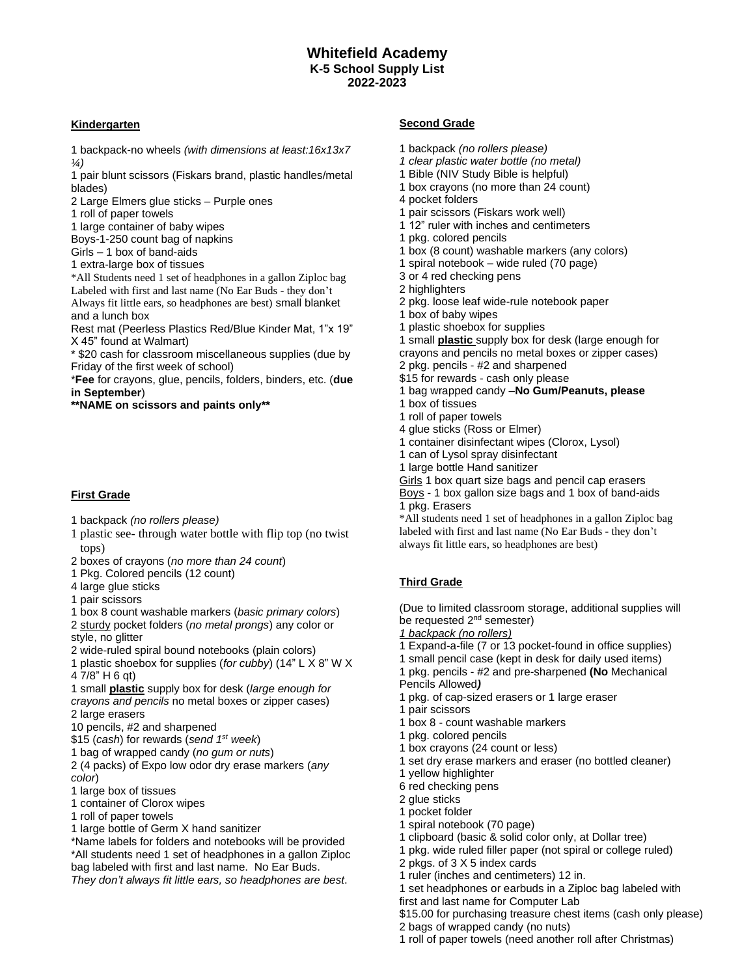## **Kindergarten**

1 backpack-no wheels *(with dimensions at least:16x13x7 ¼)*

1 pair blunt scissors (Fiskars brand, plastic handles/metal blades)

2 Large Elmers glue sticks – Purple ones

1 roll of paper towels

1 large container of baby wipes

Boys-1-250 count bag of napkins

Girls – 1 box of band-aids

1 extra-large box of tissues

\*All Students need 1 set of headphones in a gallon Ziploc bag Labeled with first and last name (No Ear Buds - they don't Always fit little ears, so headphones are best) small blanket and a lunch box

Rest mat (Peerless Plastics Red/Blue Kinder Mat, 1"x 19" X 45" found at Walmart)

\* \$20 cash for classroom miscellaneous supplies (due by Friday of the first week of school)

\***Fee** for crayons, glue, pencils, folders, binders, etc. (**due in September**)

**\*\*NAME on scissors and paints only\*\*** 

## **First Grade**

- 1 backpack *(no rollers please)*
- 1 plastic see- through water bottle with flip top (no twist tops)
- 2 boxes of crayons (*no more than 24 count*)
- 1 Pkg. Colored pencils (12 count)
- 4 large glue sticks
- 1 pair scissors

1 box 8 count washable markers (*basic primary colors*)

2 sturdy pocket folders (*no metal prongs*) any color or style, no glitter

2 wide-ruled spiral bound notebooks (plain colors)

1 plastic shoebox for supplies (*for cubby*) (14" L X 8" W X 4 7/8" H 6 qt)

1 small **plastic** supply box for desk (*large enough for* 

*crayons and pencils* no metal boxes or zipper cases) 2 large erasers

10 pencils, #2 and sharpened

\$15 (*cash*) for rewards (*send 1st week*)

1 bag of wrapped candy (*no gum or nuts*)

2 (4 packs) of Expo low odor dry erase markers (*any color*)

1 large box of tissues

1 container of Clorox wipes

1 roll of paper towels

1 large bottle of Germ X hand sanitizer

\*Name labels for folders and notebooks will be provided \*All students need 1 set of headphones in a gallon Ziploc bag labeled with first and last name. No Ear Buds.

*They don't always fit little ears, so headphones are best*.

### **Second Grade**

- 1 backpack *(no rollers please)*
- *1 clear plastic water bottle (no metal)*
- 1 Bible (NIV Study Bible is helpful)
- 1 box crayons (no more than 24 count)
- 4 pocket folders
- 1 pair scissors (Fiskars work well)
- 1 12" ruler with inches and centimeters
- 1 pkg. colored pencils
- 1 box (8 count) washable markers (any colors)
- 1 spiral notebook wide ruled (70 page)
- 3 or 4 red checking pens
- 2 highlighters
- 2 pkg. loose leaf wide-rule notebook paper
- 1 box of baby wipes
- 1 plastic shoebox for supplies

1 small **plastic** supply box for desk (large enough for crayons and pencils no metal boxes or zipper cases)

- 2 pkg. pencils #2 and sharpened
- \$15 for rewards cash only please
- 1 bag wrapped candy –**No Gum/Peanuts, please**
- 1 box of tissues
- 1 roll of paper towels
- 4 glue sticks (Ross or Elmer)
- 1 container disinfectant wipes (Clorox, Lysol)
- 1 can of Lysol spray disinfectant
- 1 large bottle Hand sanitizer

Girls 1 box quart size bags and pencil cap erasers

Boys - 1 box gallon size bags and 1 box of band-aids 1 pkg. Erasers

\*All students need 1 set of headphones in a gallon Ziploc bag labeled with first and last name (No Ear Buds - they don't always fit little ears, so headphones are best)

# **Third Grade**

(Due to limited classroom storage, additional supplies will be requested 2<sup>nd</sup> semester)

- *1 backpack (no rollers)*
- 1 Expand-a-file (7 or 13 pocket-found in office supplies)
- 1 small pencil case (kept in desk for daily used items)
- 1 pkg. pencils #2 and pre-sharpened **(No** Mechanical Pencils Allowed*)*
- 1 pkg. of cap-sized erasers or 1 large eraser
- 1 pair scissors
- 1 box 8 count washable markers
- 1 pkg. colored pencils
- 1 box crayons (24 count or less)
- 1 set dry erase markers and eraser (no bottled cleaner)
- 1 yellow highlighter
- 6 red checking pens
- 2 glue sticks
- 1 pocket folder
- 1 spiral notebook (70 page)
- 1 clipboard (basic & solid color only, at Dollar tree)
- 1 pkg. wide ruled filler paper (not spiral or college ruled)
- 2 pkgs. of 3 X 5 index cards

1 ruler (inches and centimeters) 12 in.

1 set headphones or earbuds in a Ziploc bag labeled with first and last name for Computer Lab

\$15.00 for purchasing treasure chest items (cash only please)

2 bags of wrapped candy (no nuts) 1 roll of paper towels (need another roll after Christmas)